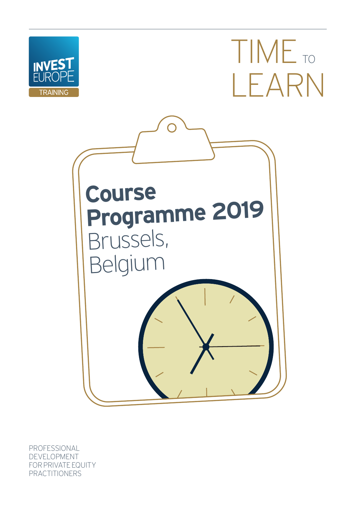

TIME<sub>TO</sub> LEARN



PROFESSIONAL DEVELOPMENT FOR PRIVATE EQUITY PRACTITIONERS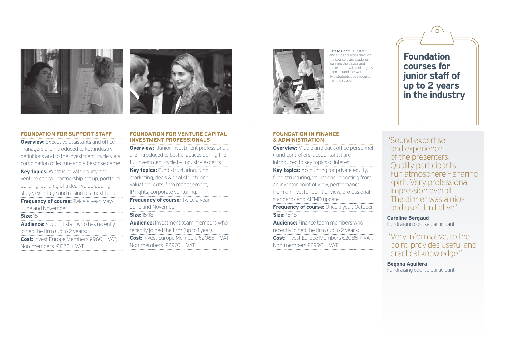



Left to right: [Our staff and students work through the course plan; Students learning the basics and make bonds with colleagues from around the world: Two students get a focused training session.]

**Foundation courses for junior staff of up to 2 years in the industry**

## **FOUNDATION FOR SUPPORT STAFF**

**Overview:** Executive assistants and office managers are introduced to key industry definitions and to the investment cycle via a combination of lecture and a bespoke game. **Key topics:** What is private equity and venture capital, partnership set up, portfolio building, building of a deal, value-adding stage, exit stage and raising of a next fund. **Frequency of course:** Twice a year, May/ June and November **Size:** 15 **Audience:** Support staff who has recently joined the firm (up to 2 years). **Cost:** Invest Europe Members €960 + VAT; Non-members €1370 + VAT.

**FOUNDATION FOR VENTURE CAPITAL INVESTMENT PROFESSIONALS**

**Overview:** Junior investment professionals are introduced to best practices during the full investment cycle by industry experts. **Key topics:** Fund structuring, fund marketing, deals & deal structuring, valuation, exits, firm management, IP rights, corporate venturing. **Frequency of course:** Twice a year, June and November **Size:** 15-18 **Audience:** Investment team members who recently joined the firm (up to 1 year). **Cost:** Invest Europe Members €2065 + VAT;

Non-members €2970 + VAT.

## **FOUNDATION IN FINANCE & ADMINISTRATION**

**Overview:** Middle and back office personnel (fund controllers, accountants) are introduced to key topics of interest. **Key topics:** Accounting for private equity, fund structuring, valuations, reporting from an investor point of view, performance from an investor point of view, professional standards and AIFMD update.

**Frequency of course:** Once a year, October **Size:** 15-18

**Audience:** Finance team members who recently joined the firm (up to 2 years) **Cost:** Invest Europe Members €2085 + VAT; Non-members €2990 + VAT;

"Sound expertise and experience of the presenters. Quality participants. Fun atmosphere – sharing spirit. Very professional impression overall. The dinner was a nice and useful initiative."

## **Caroline Bergaud**

Fundraising course participant

"Very informative, to the point, provides useful and practical knowledge."

**Begona Aguilera** Fundraising course participant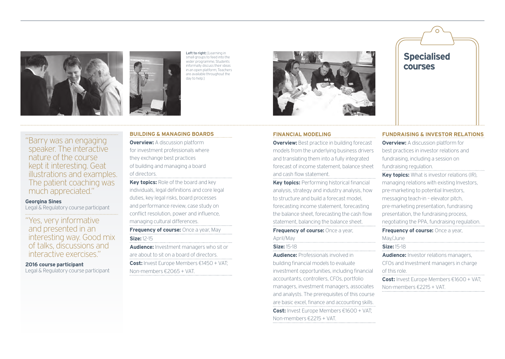

Left to right: [Learning in small groups to feed into the wider programme; Students informally discuss their ideas in an open platform; Teachers are available throughout the day to help.]



#### **FINANCIAL MODELING**

**Overview:** Best practice in building forecast models from the underlying business drivers and translating them into a fully integrated forecast of income statement, balance sheet and cash flow statement.

**Key topics:** Performing historical financial analysis, strategy and industry analysis, how to structure and build a forecast model, forecasting income statement, forecasting the balance sheet, forecasting the cash flow statement, balancing the balance sheet. **Frequency of course:** Once a year,

# April/May

**Size:** 15-18

**Audience:** Professionals involved in building financial models to evaluate investment opportunities, including financial accountants, controllers, CFOs, portfolio managers, investment managers, associates and analysts. The prerequisites of this course are basic excel, finance and accounting skills. **Cost:** Invest Europe Members €1600 + VAT; Non-members €2215 + VAT.

#### **FUNDRAISING & INVESTOR RELATIONS**

**Overview:** A discussion platform for best practices in investor relations and fundraising, including a session on fundraising regulation.

**Specialised** 

**courses**

**Key topics:** What is investor relations (IR), managing relations with existing Investors, pre-marketing to potential Investors, messaging teach-in – elevator pitch, pre-marketing presentation, fundraising presentation, the fundraising process, negotiating the PPA, fundraising regulation.

## **Frequency of course:** Once a year,

May/June

**Size:** 15-18

**Audience:** Investor relations managers, CFOs and Investment managers in charge of this role.

**Cost:** Invest Europe Members €1600 + VAT; Non-members €2215 + VAT.

"Barry was an engaging speaker. The interactive nature of the course kept it interesting. Geat illustrations and examples. The patient coaching was much appreciated."

#### **Georgina Sines**

Legal & Regulatory course participant

"Yes, very informative and presented in an interesting way. Good mix of talks, discussions and interactive exercises."

**2016 course participant** Legal & Regulatory course participant **BUILDING & MANAGING BOARDS**

**Overview:** A discussion platform for investment professionals where they exchange best practices of building and managing a board of directors.

**Key topics:** Role of the board and key individuals, legal definitions and core legal duties, key legal risks, board processes and performance review, case study on conflict resolution, power and influence. managing cultural differences.

## **Frequency of course:** Once a year, May **Size:** 12-15

**Audience:** Investment managers who sit or are about to sit on a board of directors. **Cost:** Invest Europe Members €1450 + VAT; Non-members €2065 + VAT.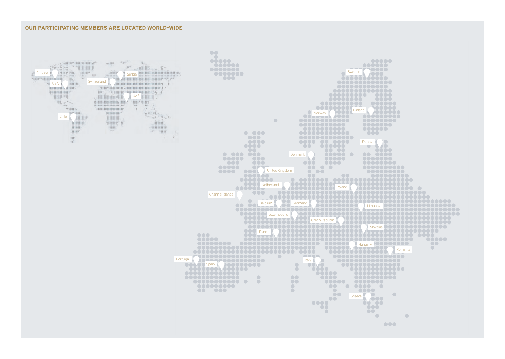## **OUR PARTICIPATING MEMBERS ARE LOCATED WORLD-WIDE**

**Canada** 



 $\bullet\bullet\bullet$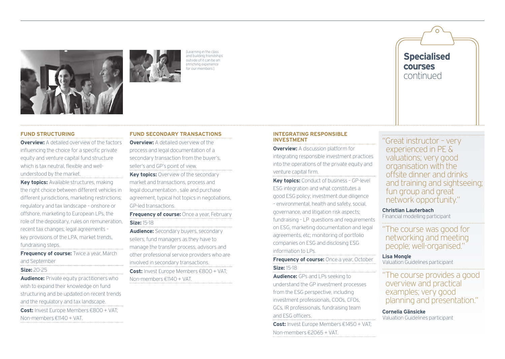



Learning in the class and building friendships outside of it can be an enriching experience for our members.]

## **FUND STRUCTURING**

**Overview:** A detailed overview of the factors influencing the choice for a specific private equity and venture capital fund structure which is tax neutral, flexible and wellunderstood by the market.

**Key topics:** Available structures, making the right choice between different vehicles in different jurisdictions, marketing restrictions; regulatory and tax landscape – onshore or offshore, marketing to European LPs, the role of the depositary, rules on remuneration, recent tax changes; legal agreements – key provisions of the LPA, market trends, fundraising steps.

**Frequency of course:** Twice a year, March and September

## **Size:** 20-25

**Audience:** Private equity practitioners who wish to expand their knowledge on fund structuring and be updated on recent trends and the regulatory and tax landscape. **Cost:** Invest Europe Members €800 + VAT; Non-members €1140 + VAT.

## **FUND SECONDARY TRANSACTIONS**

**Overview:** A detailed overview of the process and legal documentation of a secondary transaction from the buyer's, seller's and GP's point of view. **Key topics:** Overview of the secondary

market and transactions, process and legal documentation , sale and purchase agreement, typical hot topics in negotiations, GP-led transactions.

**Frequency of course:** Once a year, February **Size:** 15-18

**Audience:** Secondary buyers, secondary sellers, fund managers as they have to manage the transfer process, advisors and other professional service providers who are involved in secondary transactions. **Cost:** Invest Europe Members €800 + VAT; Non-members €1140 + VAT.

#### **INTEGRATING RESPONSIBLE INVESTMENT**

**Overview:** A discussion platform for integrating responsible investment practices into the operations of the private equity and venture capital firm.

**Key topics:** Conduct of business – GP-level ESG integration and what constitutes a good ESG policy; investment due diligence – environmental, health and safety, social, governance, and litigation risk aspects; fundraising – LP questions and requirements on ESG, marketing documentation and legal agreements, etc; monitoring of portfolio companies on ESG and disclosing ESG information to LPs.

**Frequency of course:** Once a year, October **Size:** 15-18

**Audience:** GPs and LPs seeking to understand the GP investment processes from the ESG perspective, including investment professionals, COOs, CFOs, GCs, IR professionals, fundraising team and ESG officers.

**Cost:** Invest Europe Members €1450 + VAT; Non-members €2065 + VAT.

"Great instructor – very experienced in PE & valuations; very good organisation with the offsite dinner and drinks and training and sightseeing; fun group and great network opportunity."

**Specialised** 

**courses** continued

# **Christian Lauterbach**

Financial modelling participant

"The course was good for networking and meeting people; well-organised."

**Lisa Mongle** Valuation Guidelines participant

"The course provides a good overview and practical examples; very good planning and presentation."

**Cornelia Gänsicke** Valuation Guidelines participant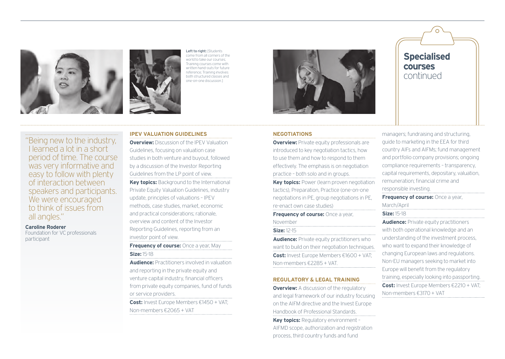



Left to right: [Students] come from all corners of the world to take our courses; Training courses come with written hand-outs for future reference; Training involves both structured classes and one-on-one discussion.]



"Being new to the industry, I learned a lot in a short period of time. The course was very informative and easy to follow with plenty of interaction between speakers and participants. We were encouraged to think of issues from all angles."

**Caroline Roderer**

Foundation for VC professionals participant

## **IPEV VALUATION GUIDELINES**

**Overview:** Discussion of the **IPEV Valuation** Guidelines, focusing on valuation case studies in both venture and buyout, followed by a discussion of the Investor Reporting Guidelines from the LP point of view. **Key topics:** Background to the International Private Equity Valuation Guidelines, industry update, principles of valuations – IPEV methods, case studies, market, economic and practical considerations; rationale, overview and content of the Investor Reporting Guidelines, reporting from an investor point of view.

**Frequency of course:** Once a year, May **Size:** 15-18

**Audience:** Practitioners involved in valuation and reporting in the private equity and venture capital industry, financial officers from private equity companies, fund of funds or service providers.

**Cost:** Invest Europe Members €1450 + VAT; Non-members €2065 + VAT

## **NEGOTIATIONS**

**Overview:** Private equity professionals are introduced to key negotiation tactics, how to use them and how to respond to them effectively. The emphasis is on negotiation practice – both solo and in groups.

**Key topics:** Power (learn proven negotiation tactics), Preparation, Practice (one-on-one negotiations in PE, group negotiations in PE, re-enact own case studies)

**Frequency of course:** Once a year, November

#### **Size:** 12-15

**Audience:** Private equity practitioners who want to build on their negotiation techniques. **Cost:** Invest Europe Members €1600 + VAT; Non-members €2285 + VAT.

### **REGULATORY & LEGAL TRAINING**

**Overview:** A discussion of the regulatory and legal framework of our industry focusing on the AIFM directive and the Invest Europe Handbook of Professional Standards.

**Key topics: Regulatory environment -**AIFMD scope, authorization and registration process, third country funds and fund

**Specialised courses** continued

managers; fundraising and structuring, guide to marketing in the EEA for third country AIFs and AIFMs; fund management and portfolio company provisions; ongoing compliance requirements – transparency, capital requirements, depositary, valuation, remuneration; financial crime and responsible investing.

**Frequency of course:** Once a year, March/April

**Size:** 15-18

**Audience:** Private equity practitioners with both operational knowledge and an understanding of the investment process, who want to expand their knowledge of changing European laws and regulations. Non-EU managers seeking to market into Europe will benefit from the regulatory training, especially looking into passporting. **Cost:** Invest Europe Members €2210 + VAT; Non-members €3170 + VAT